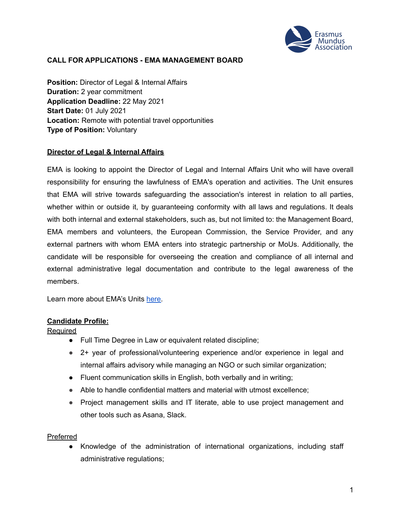

## **CALL FOR APPLICATIONS - EMA MANAGEMENT BOARD**

**Position:** Director of Legal & Internal Affairs **Duration:** 2 year commitment **Application Deadline:** 22 May 2021 **Start Date:** 01 July 2021 **Location:** Remote with potential travel opportunities **Type of Position:** Voluntary

### **Director of Legal & Internal Affairs**

EMA is looking to appoint the Director of Legal and Internal Affairs Unit who will have overall responsibility for ensuring the lawfulness of EMA's operation and activities. The Unit ensures that EMA will strive towards safeguarding the association's interest in relation to all parties, whether within or outside it, by guaranteeing conformity with all laws and regulations. It deals with both internal and external stakeholders, such as, but not limited to: the Management Board, EMA members and volunteers, the European Commission, the Service Provider, and any external partners with whom EMA enters into strategic partnership or MoUs. Additionally, the candidate will be responsible for overseeing the creation and compliance of all internal and external administrative legal documentation and contribute to the legal awareness of the members.

Learn more about EMA's Units [here.](https://www.em-a.eu/structure-and-history)

#### **Candidate Profile:**

**Required** 

- Full Time Degree in Law or equivalent related discipline;
- 2+ year of professional/volunteering experience and/or experience in legal and internal affairs advisory while managing an NGO or such similar organization;
- Fluent communication skills in English, both verbally and in writing;
- Able to handle confidential matters and material with utmost excellence;
- Project management skills and IT literate, able to use project management and other tools such as Asana, Slack.

#### Preferred

● Knowledge of the administration of international organizations, including staff administrative regulations;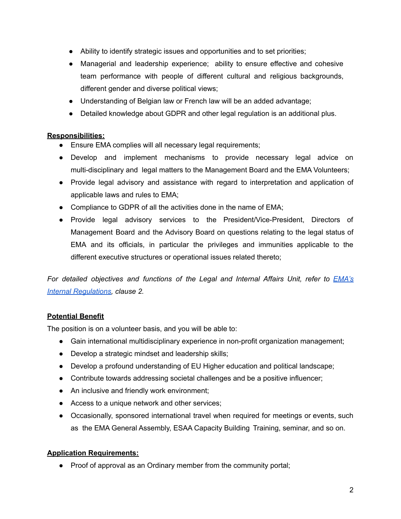- Ability to identify strategic issues and opportunities and to set priorities;
- Managerial and leadership experience; ability to ensure effective and cohesive team performance with people of different cultural and religious backgrounds, different gender and diverse political views;
- Understanding of Belgian law or French law will be an added advantage;
- Detailed knowledge about GDPR and other legal regulation is an additional plus.

# **Responsibilities:**

- Ensure EMA complies will all necessary legal requirements;
- Develop and implement mechanisms to provide necessary legal advice on multi-disciplinary and legal matters to the Management Board and the EMA Volunteers;
- Provide legal advisory and assistance with regard to interpretation and application of applicable laws and rules to EMA;
- Compliance to GDPR of all the activities done in the name of EMA;
- Provide legal advisory services to the President/Vice-President, Directors of Management Board and the Advisory Board on questions relating to the legal status of EMA and its officials, in particular the privileges and immunities applicable to the different executive structures or operational issues related thereto;

*For detailed objectives and functions of the Legal and Internal Affairs Unit, refer to [EMA's](https://www.em-a.eu/documents) Internal [Regulations,](https://www.em-a.eu/documents) clause 2.*

# **Potential Benefit**

The position is on a volunteer basis, and you will be able to:

- **●** Gain international multidisciplinary experience in non-profit organization management;
- **●** Develop a strategic mindset and leadership skills;
- **●** Develop a profound understanding of EU Higher education and political landscape;
- **●** Contribute towards addressing societal challenges and be a positive influencer;
- **●** An inclusive and friendly work environment;
- **●** Access to a unique network and other services;
- Occasionally, sponsored international travel when required for meetings or events, such as the EMA General Assembly, ESAA Capacity Building Training, seminar, and so on.

# **Application Requirements:**

• Proof of approval as an Ordinary member from the community portal;